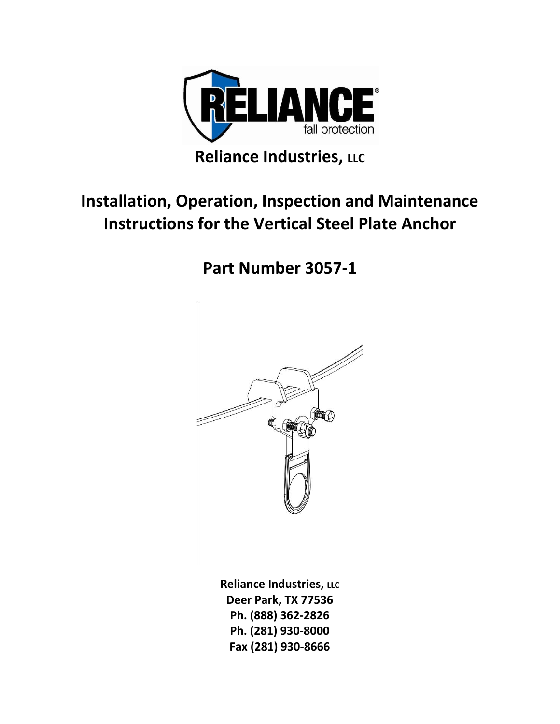

## **Installation, Operation, Inspection and Maintenance Instructions for the Vertical Steel Plate Anchor**

# **Part Number 3057-1**



**Reliance Industries, LLC Deer Park, TX 77536 Ph. (888) 362-2826 Ph. (281) 930-8000 Fax (281) 930-8666**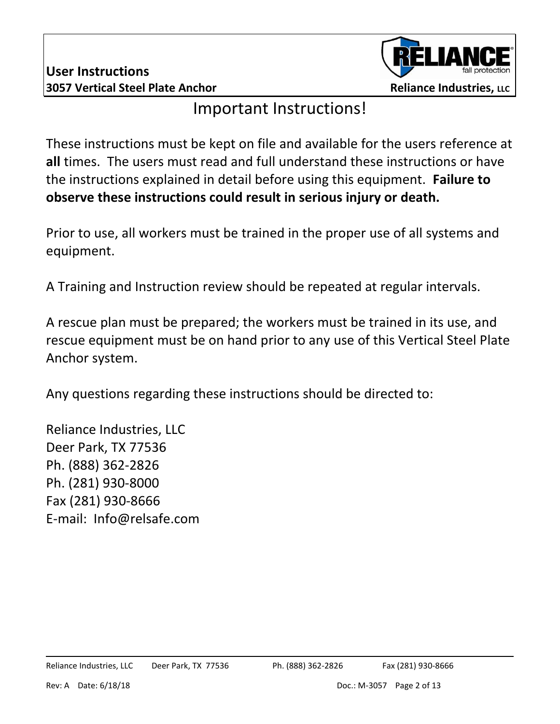

### Important Instructions!

These instructions must be kept on file and available for the users reference at **all** times. The users must read and full understand these instructions or have the instructions explained in detail before using this equipment. **Failure to observe these instructions could result in serious injury or death.**

Prior to use, all workers must be trained in the proper use of all systems and equipment.

A Training and Instruction review should be repeated at regular intervals.

A rescue plan must be prepared; the workers must be trained in its use, and rescue equipment must be on hand prior to any use of this Vertical Steel Plate Anchor system.

Any questions regarding these instructions should be directed to:

Reliance Industries, LLC Deer Park, TX 77536 Ph. (888) 362-2826 Ph. (281) 930-8000 Fax (281) 930-8666 E-mail: Info@relsafe.com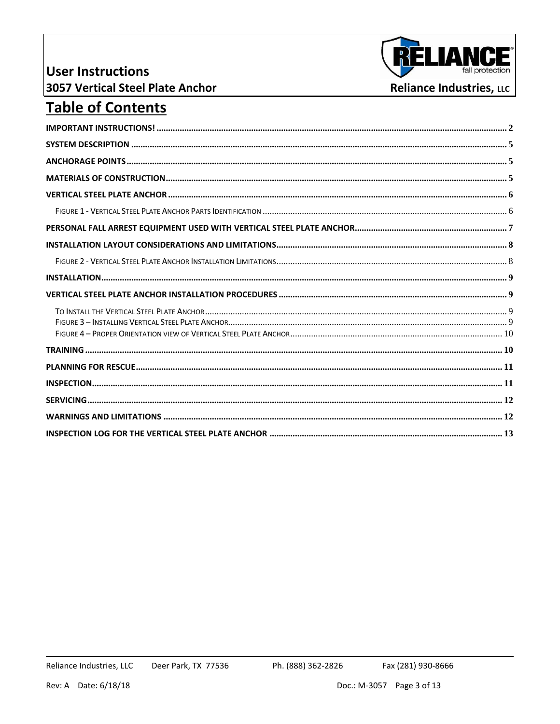#### **User Instructions 3057 Vertical Steel Plate Anchor**



#### **Table of Contents**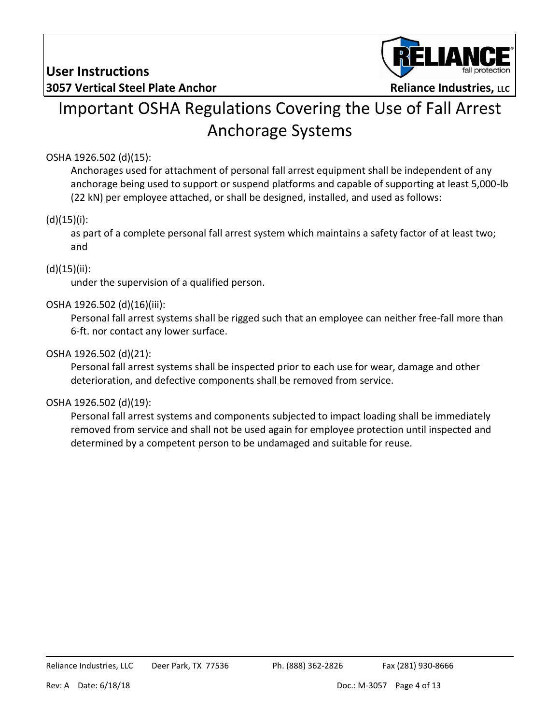

# Important OSHA Regulations Covering the Use of Fall Arrest Anchorage Systems

#### OSHA 1926.502 (d)(15):

Anchorages used for attachment of personal fall arrest equipment shall be independent of any anchorage being used to support or suspend platforms and capable of supporting at least 5,000-lb (22 kN) per employee attached, or shall be designed, installed, and used as follows:

#### $(d)(15)(i)$ :

as part of a complete personal fall arrest system which maintains a safety factor of at least two; and

#### $(d)(15)(ii)$ :

under the supervision of a qualified person.

#### OSHA 1926.502 (d)(16)(iii):

Personal fall arrest systems shall be rigged such that an employee can neither free-fall more than 6-ft. nor contact any lower surface.

#### OSHA 1926.502 (d)(21):

Personal fall arrest systems shall be inspected prior to each use for wear, damage and other deterioration, and defective components shall be removed from service.

#### OSHA 1926.502 (d)(19):

Personal fall arrest systems and components subjected to impact loading shall be immediately removed from service and shall not be used again for employee protection until inspected and determined by a competent person to be undamaged and suitable for reuse.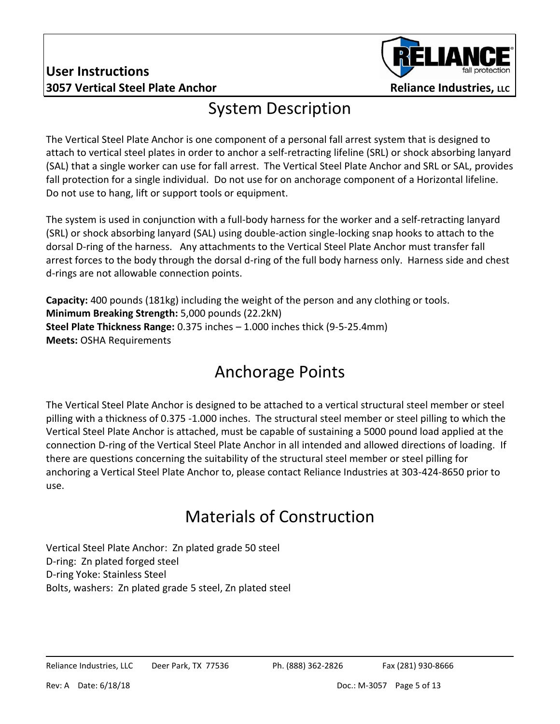#### **User Instructions 3057 Vertical Steel Plate Anchor <b>Reliance Industries**, LLC



#### System Description

The Vertical Steel Plate Anchor is one component of a personal fall arrest system that is designed to attach to vertical steel plates in order to anchor a self-retracting lifeline (SRL) or shock absorbing lanyard (SAL) that a single worker can use for fall arrest. The Vertical Steel Plate Anchor and SRL or SAL, provides fall protection for a single individual. Do not use for on anchorage component of a Horizontal lifeline. Do not use to hang, lift or support tools or equipment.

The system is used in conjunction with a full-body harness for the worker and a self-retracting lanyard (SRL) or shock absorbing lanyard (SAL) using double-action single-locking snap hooks to attach to the dorsal D-ring of the harness. Any attachments to the Vertical Steel Plate Anchor must transfer fall arrest forces to the body through the dorsal d-ring of the full body harness only. Harness side and chest d-rings are not allowable connection points.

**Capacity:** 400 pounds (181kg) including the weight of the person and any clothing or tools. **Minimum Breaking Strength:** 5,000 pounds (22.2kN) **Steel Plate Thickness Range:** 0.375 inches – 1.000 inches thick (9-5-25.4mm) **Meets:** OSHA Requirements

### Anchorage Points

The Vertical Steel Plate Anchor is designed to be attached to a vertical structural steel member or steel pilling with a thickness of 0.375 -1.000 inches. The structural steel member or steel pilling to which the Vertical Steel Plate Anchor is attached, must be capable of sustaining a 5000 pound load applied at the connection D-ring of the Vertical Steel Plate Anchor in all intended and allowed directions of loading. If there are questions concerning the suitability of the structural steel member or steel pilling for anchoring a Vertical Steel Plate Anchor to, please contact Reliance Industries at 303-424-8650 prior to use.

## Materials of Construction

Vertical Steel Plate Anchor: Zn plated grade 50 steel D-ring: Zn plated forged steel D-ring Yoke: Stainless Steel Bolts, washers: Zn plated grade 5 steel, Zn plated steel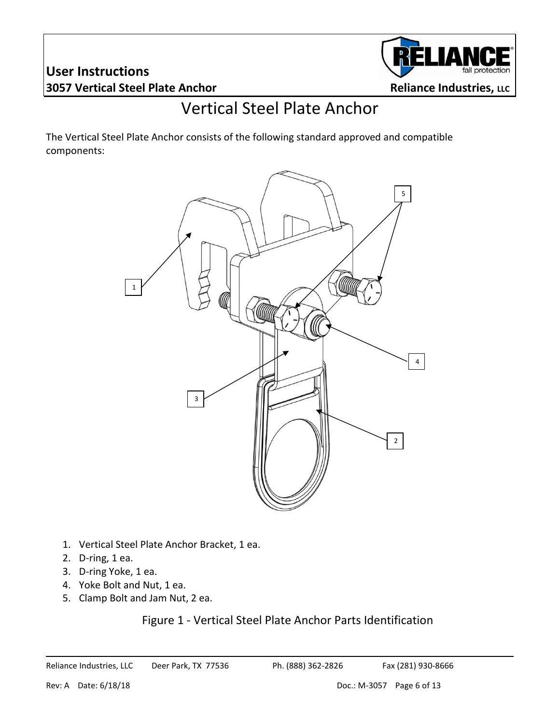#### **User Instructions 3057 Vertical Steel Plate Anchor <b>Reliance Industries**, LLC



### Vertical Steel Plate Anchor

The Vertical Steel Plate Anchor consists of the following standard approved and compatible components:



- 1. Vertical Steel Plate Anchor Bracket, 1 ea.
- 2. D-ring, 1 ea.
- 3. D-ring Yoke, 1 ea.
- 4. Yoke Bolt and Nut, 1 ea.
- 5. Clamp Bolt and Jam Nut, 2 ea.

#### Figure 1 - Vertical Steel Plate Anchor Parts Identification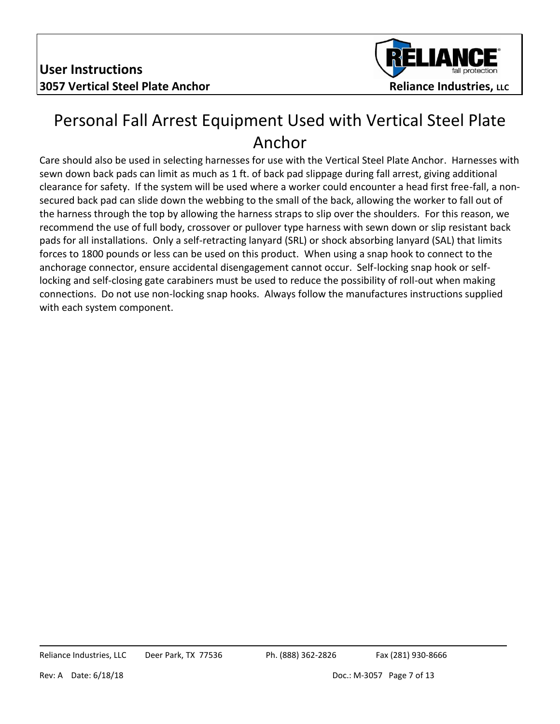

#### Personal Fall Arrest Equipment Used with Vertical Steel Plate Anchor

Care should also be used in selecting harnesses for use with the Vertical Steel Plate Anchor. Harnesses with sewn down back pads can limit as much as 1 ft. of back pad slippage during fall arrest, giving additional clearance for safety. If the system will be used where a worker could encounter a head first free-fall, a nonsecured back pad can slide down the webbing to the small of the back, allowing the worker to fall out of the harness through the top by allowing the harness straps to slip over the shoulders. For this reason, we recommend the use of full body, crossover or pullover type harness with sewn down or slip resistant back pads for all installations. Only a self-retracting lanyard (SRL) or shock absorbing lanyard (SAL) that limits forces to 1800 pounds or less can be used on this product. When using a snap hook to connect to the anchorage connector, ensure accidental disengagement cannot occur. Self-locking snap hook or selflocking and self-closing gate carabiners must be used to reduce the possibility of roll-out when making connections. Do not use non-locking snap hooks. Always follow the manufactures instructions supplied with each system component.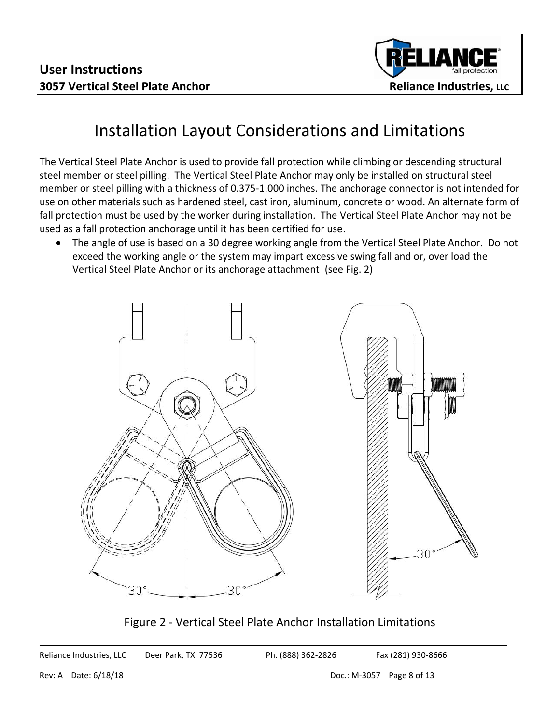

### Installation Layout Considerations and Limitations

The Vertical Steel Plate Anchor is used to provide fall protection while climbing or descending structural steel member or steel pilling. The Vertical Steel Plate Anchor may only be installed on structural steel member or steel pilling with a thickness of 0.375-1.000 inches. The anchorage connector is not intended for use on other materials such as hardened steel, cast iron, aluminum, concrete or wood. An alternate form of fall protection must be used by the worker during installation. The Vertical Steel Plate Anchor may not be used as a fall protection anchorage until it has been certified for use.

 The angle of use is based on a 30 degree working angle from the Vertical Steel Plate Anchor. Do not exceed the working angle or the system may impart excessive swing fall and or, over load the Vertical Steel Plate Anchor or its anchorage attachment (see Fig. 2)



Figure 2 - Vertical Steel Plate Anchor Installation Limitations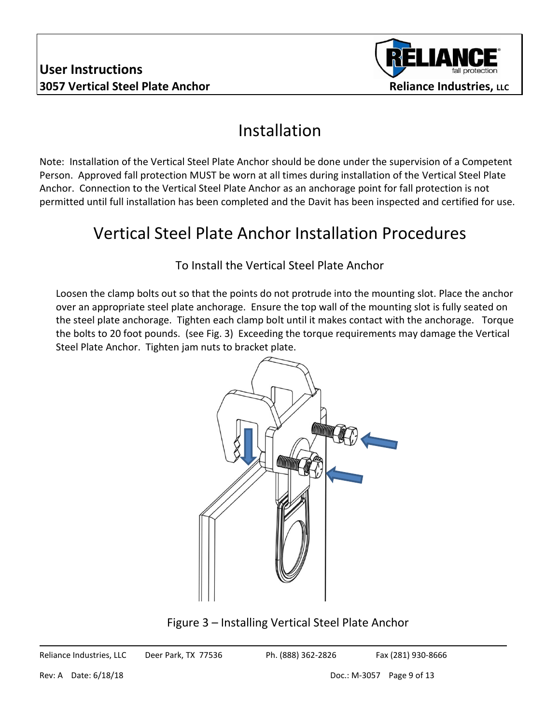

#### Installation

Note: Installation of the Vertical Steel Plate Anchor should be done under the supervision of a Competent Person. Approved fall protection MUST be worn at all times during installation of the Vertical Steel Plate Anchor. Connection to the Vertical Steel Plate Anchor as an anchorage point for fall protection is not permitted until full installation has been completed and the Davit has been inspected and certified for use.

## Vertical Steel Plate Anchor Installation Procedures

#### To Install the Vertical Steel Plate Anchor

Loosen the clamp bolts out so that the points do not protrude into the mounting slot. Place the anchor over an appropriate steel plate anchorage. Ensure the top wall of the mounting slot is fully seated on the steel plate anchorage. Tighten each clamp bolt until it makes contact with the anchorage. Torque the bolts to 20 foot pounds. (see Fig. 3) Exceeding the torque requirements may damage the Vertical Steel Plate Anchor. Tighten jam nuts to bracket plate.



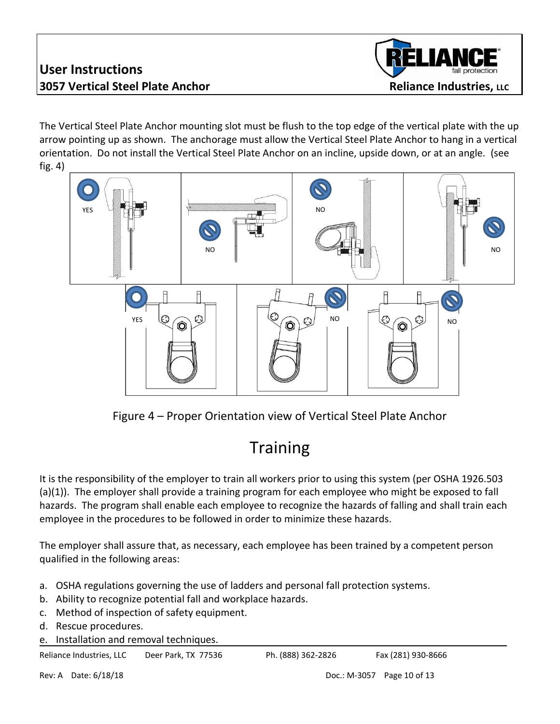#### **User Instructions 3057 Vertical Steel Plate Anchor <b>Reliance Industries**, LLC



The Vertical Steel Plate Anchor mounting slot must be flush to the top edge of the vertical plate with the up arrow pointing up as shown. The anchorage must allow the Vertical Steel Plate Anchor to hang in a vertical orientation. Do not install the Vertical Steel Plate Anchor on an incline, upside down, or at an angle. (see fig. 4)



Figure 4 – Proper Orientation view of Vertical Steel Plate Anchor

# **Training**

It is the responsibility of the employer to train all workers prior to using this system (per OSHA 1926.503 (a)(1)). The employer shall provide a training program for each employee who might be exposed to fall hazards. The program shall enable each employee to recognize the hazards of falling and shall train each employee in the procedures to be followed in order to minimize these hazards.

The employer shall assure that, as necessary, each employee has been trained by a competent person qualified in the following areas:

- a. OSHA regulations governing the use of ladders and personal fall protection systems.
- b. Ability to recognize potential fall and workplace hazards.
- c. Method of inspection of safety equipment.
- d. Rescue procedures.
- e. Installation and removal techniques.

Reliance Industries, LLC Deer Park, TX 77536 Ph. (888) 362-2826 Fax (281) 930-8666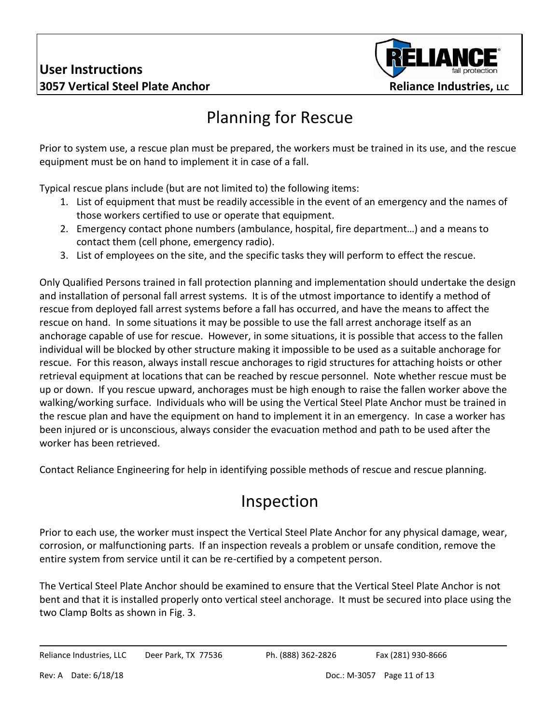

# Planning for Rescue

Prior to system use, a rescue plan must be prepared, the workers must be trained in its use, and the rescue equipment must be on hand to implement it in case of a fall.

Typical rescue plans include (but are not limited to) the following items:

- 1. List of equipment that must be readily accessible in the event of an emergency and the names of those workers certified to use or operate that equipment.
- 2. Emergency contact phone numbers (ambulance, hospital, fire department…) and a means to contact them (cell phone, emergency radio).
- 3. List of employees on the site, and the specific tasks they will perform to effect the rescue.

Only Qualified Persons trained in fall protection planning and implementation should undertake the design and installation of personal fall arrest systems. It is of the utmost importance to identify a method of rescue from deployed fall arrest systems before a fall has occurred, and have the means to affect the rescue on hand. In some situations it may be possible to use the fall arrest anchorage itself as an anchorage capable of use for rescue. However, in some situations, it is possible that access to the fallen individual will be blocked by other structure making it impossible to be used as a suitable anchorage for rescue. For this reason, always install rescue anchorages to rigid structures for attaching hoists or other retrieval equipment at locations that can be reached by rescue personnel. Note whether rescue must be up or down. If you rescue upward, anchorages must be high enough to raise the fallen worker above the walking/working surface. Individuals who will be using the Vertical Steel Plate Anchor must be trained in the rescue plan and have the equipment on hand to implement it in an emergency. In case a worker has been injured or is unconscious, always consider the evacuation method and path to be used after the worker has been retrieved.

Contact Reliance Engineering for help in identifying possible methods of rescue and rescue planning.

### Inspection

Prior to each use, the worker must inspect the Vertical Steel Plate Anchor for any physical damage, wear, corrosion, or malfunctioning parts. If an inspection reveals a problem or unsafe condition, remove the entire system from service until it can be re-certified by a competent person.

The Vertical Steel Plate Anchor should be examined to ensure that the Vertical Steel Plate Anchor is not bent and that it is installed properly onto vertical steel anchorage. It must be secured into place using the two Clamp Bolts as shown in Fig. 3.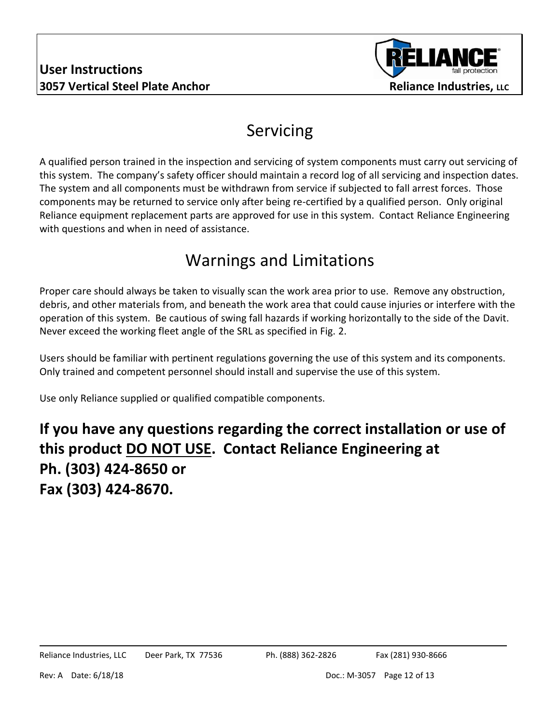

### Servicing

A qualified person trained in the inspection and servicing of system components must carry out servicing of this system. The company's safety officer should maintain a record log of all servicing and inspection dates. The system and all components must be withdrawn from service if subjected to fall arrest forces. Those components may be returned to service only after being re-certified by a qualified person. Only original Reliance equipment replacement parts are approved for use in this system. Contact Reliance Engineering with questions and when in need of assistance.

## Warnings and Limitations

Proper care should always be taken to visually scan the work area prior to use. Remove any obstruction, debris, and other materials from, and beneath the work area that could cause injuries or interfere with the operation of this system. Be cautious of swing fall hazards if working horizontally to the side of the Davit. Never exceed the working fleet angle of the SRL as specified in Fig. 2.

Users should be familiar with pertinent regulations governing the use of this system and its components. Only trained and competent personnel should install and supervise the use of this system.

Use only Reliance supplied or qualified compatible components.

#### **If you have any questions regarding the correct installation or use of this product DO NOT USE. Contact Reliance Engineering at Ph. (303) 424-8650 or Fax (303) 424-8670.**